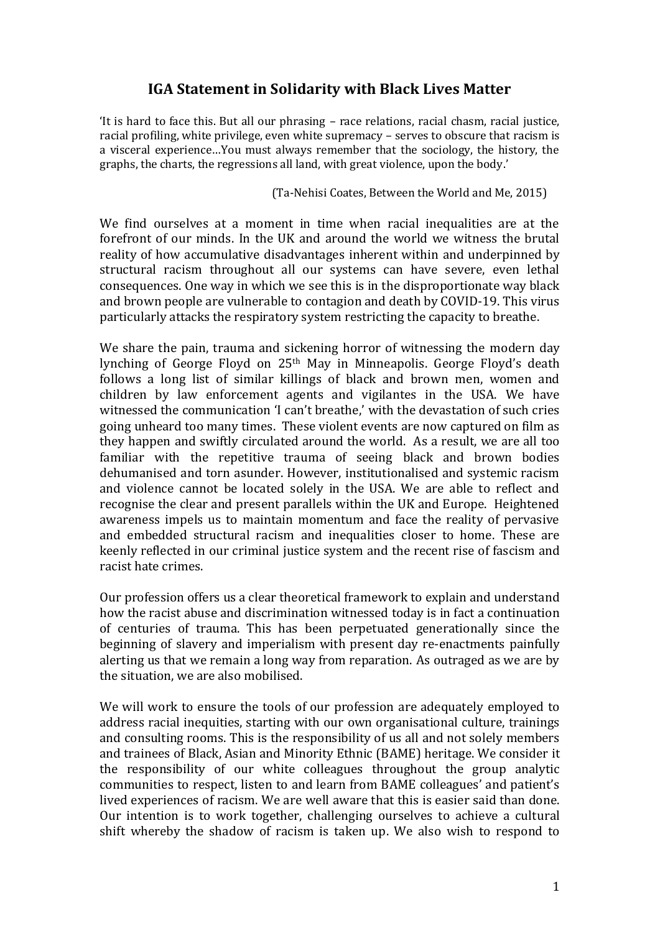## **IGA Statement in Solidarity with Black Lives Matter**

'It is hard to face this. But all our phrasing – race relations, racial chasm, racial justice, racial profiling, white privilege, even white supremacy – serves to obscure that racism is a visceral experience…You must always remember that the sociology, the history, the graphs, the charts, the regressions all land, with great violence, upon the body.'

(Ta-Nehisi Coates, Between the World and Me, 2015)

We find ourselves at a moment in time when racial inequalities are at the forefront of our minds. In the UK and around the world we witness the brutal reality of how accumulative disadvantages inherent within and underpinned by structural racism throughout all our systems can have severe, even lethal consequences. One way in which we see this is in the disproportionate way black and brown people are vulnerable to contagion and death by COVID-19. This virus particularly attacks the respiratory system restricting the capacity to breathe.

We share the pain, trauma and sickening horror of witnessing the modern day lynching of George Floyd on 25th May in Minneapolis. George Floyd's death follows a long list of similar killings of black and brown men, women and children by law enforcement agents and vigilantes in the USA. We have witnessed the communication 'I can't breathe,' with the devastation of such cries going unheard too many times. These violent events are now captured on film as they happen and swiftly circulated around the world. As a result, we are all too familiar with the repetitive trauma of seeing black and brown bodies dehumanised and torn asunder. However, institutionalised and systemic racism and violence cannot be located solely in the USA. We are able to reflect and recognise the clear and present parallels within the UK and Europe. Heightened awareness impels us to maintain momentum and face the reality of pervasive and embedded structural racism and inequalities closer to home. These are keenly reflected in our criminal justice system and the recent rise of fascism and racist hate crimes.

Our profession offers us a clear theoretical framework to explain and understand how the racist abuse and discrimination witnessed today is in fact a continuation of centuries of trauma. This has been perpetuated generationally since the beginning of slavery and imperialism with present day re-enactments painfully alerting us that we remain a long way from reparation. As outraged as we are by the situation, we are also mobilised.

We will work to ensure the tools of our profession are adequately employed to address racial inequities, starting with our own organisational culture, trainings and consulting rooms. This is the responsibility of us all and not solely members and trainees of Black, Asian and Minority Ethnic (BAME) heritage. We consider it the responsibility of our white colleagues throughout the group analytic communities to respect, listen to and learn from BAME colleagues' and patient's lived experiences of racism. We are well aware that this is easier said than done. Our intention is to work together, challenging ourselves to achieve a cultural shift whereby the shadow of racism is taken up. We also wish to respond to